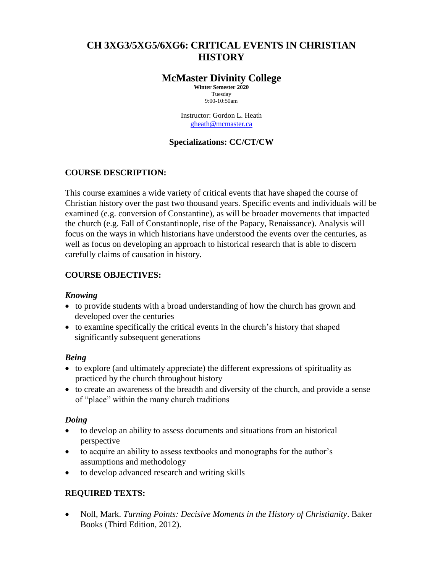# **CH 3XG3/5XG5/6XG6: CRITICAL EVENTS IN CHRISTIAN HISTORY**

## **McMaster Divinity College**

**Winter Semester 2020** Tuesday 9:00-10:50am

Instructor: Gordon L. Heath [gheath@mcmaster.ca](mailto:gheath@mcmaster.ca)

## **Specializations: CC/CT/CW**

## **COURSE DESCRIPTION:**

This course examines a wide variety of critical events that have shaped the course of Christian history over the past two thousand years. Specific events and individuals will be examined (e.g. conversion of Constantine), as will be broader movements that impacted the church (e.g. Fall of Constantinople, rise of the Papacy, Renaissance). Analysis will focus on the ways in which historians have understood the events over the centuries, as well as focus on developing an approach to historical research that is able to discern carefully claims of causation in history.

## **COURSE OBJECTIVES:**

## *Knowing*

- to provide students with a broad understanding of how the church has grown and developed over the centuries
- to examine specifically the critical events in the church's history that shaped significantly subsequent generations

## *Being*

- to explore (and ultimately appreciate) the different expressions of spirituality as practiced by the church throughout history
- to create an awareness of the breadth and diversity of the church, and provide a sense of "place" within the many church traditions

#### *Doing*

- to develop an ability to assess documents and situations from an historical perspective
- to acquire an ability to assess textbooks and monographs for the author's assumptions and methodology
- to develop advanced research and writing skills

## **REQUIRED TEXTS:**

 Noll, Mark. *Turning Points: Decisive Moments in the History of Christianity*. Baker Books (Third Edition, 2012).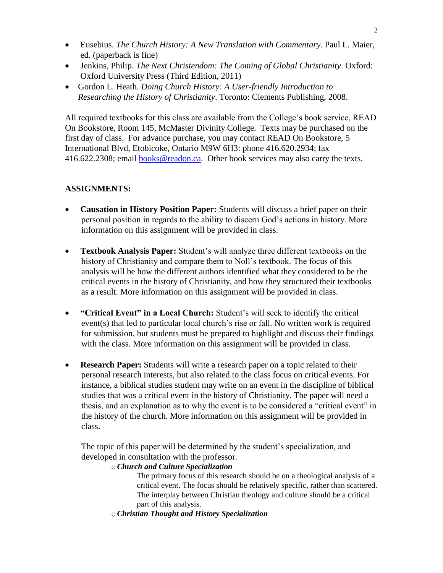- Eusebius. *The Church History: A New Translation with Commentary*. Paul L. Maier, ed. (paperback is fine)
- Jenkins, Philip. *The Next Christendom: The Coming of Global Christianity*. Oxford: Oxford University Press (Third Edition, 2011)
- Gordon L. Heath. *Doing Church History: A User-friendly Introduction to Researching the History of Christianity*. Toronto: Clements Publishing, 2008.

All required textbooks for this class are available from the College's book service, READ On Bookstore, Room 145, McMaster Divinity College. Texts may be purchased on the first day of class. For advance purchase, you may contact READ On Bookstore, 5 International Blvd, Etobicoke, Ontario M9W 6H3: phone 416.620.2934; fax 416.622.2308; email [books@readon.ca.](mailto:books@readon.ca) Other book services may also carry the texts.

## **ASSIGNMENTS:**

- **Causation in History Position Paper:** Students will discuss a brief paper on their personal position in regards to the ability to discern God's actions in history. More information on this assignment will be provided in class.
- **Textbook Analysis Paper:** Student's will analyze three different textbooks on the history of Christianity and compare them to Noll's textbook. The focus of this analysis will be how the different authors identified what they considered to be the critical events in the history of Christianity, and how they structured their textbooks as a result. More information on this assignment will be provided in class.
- **"Critical Event" in a Local Church:** Student's will seek to identify the critical event(s) that led to particular local church's rise or fall. No written work is required for submission, but students must be prepared to highlight and discuss their findings with the class. More information on this assignment will be provided in class.
- **Research Paper:** Students will write a research paper on a topic related to their personal research interests, but also related to the class focus on critical events. For instance, a biblical studies student may write on an event in the discipline of biblical studies that was a critical event in the history of Christianity. The paper will need a thesis, and an explanation as to why the event is to be considered a "critical event" in the history of the church. More information on this assignment will be provided in class.

The topic of this paper will be determined by the student's specialization, and developed in consultation with the professor.

o*Church and Culture Specialization*

The primary focus of this research should be on a theological analysis of a critical event. The focus should be relatively specific, rather than scattered. The interplay between Christian theology and culture should be a critical part of this analysis.

o*Christian Thought and History Specialization*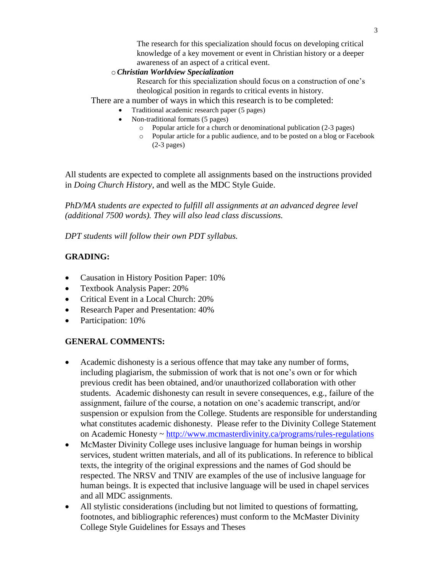The research for this specialization should focus on developing critical knowledge of a key movement or event in Christian history or a deeper awareness of an aspect of a critical event.

#### o*Christian Worldview Specialization*

Research for this specialization should focus on a construction of one's theological position in regards to critical events in history.

There are a number of ways in which this research is to be completed:

- Traditional academic research paper (5 pages)
- Non-traditional formats (5 pages)
	- o Popular article for a church or denominational publication (2-3 pages)
	- o Popular article for a public audience, and to be posted on a blog or Facebook (2-3 pages)

All students are expected to complete all assignments based on the instructions provided in *Doing Church History*, and well as the MDC Style Guide.

*PhD/MA students are expected to fulfill all assignments at an advanced degree level (additional 7500 words). They will also lead class discussions.*

*DPT students will follow their own PDT syllabus.*

## **GRADING:**

- Causation in History Position Paper: 10%
- Textbook Analysis Paper: 20%
- Critical Event in a Local Church: 20%
- Research Paper and Presentation:  $40\%$
- Participation: 10%

#### **GENERAL COMMENTS:**

- Academic dishonesty is a serious offence that may take any number of forms, including plagiarism, the submission of work that is not one's own or for which previous credit has been obtained, and/or unauthorized collaboration with other students. Academic dishonesty can result in severe consequences, e.g., failure of the assignment, failure of the course, a notation on one's academic transcript, and/or suspension or expulsion from the College. Students are responsible for understanding what constitutes academic dishonesty. Please refer to the Divinity College Statement on Academic Honesty ~<http://www.mcmasterdivinity.ca/programs/rules-regulations>
- McMaster Divinity College uses inclusive language for human beings in worship services, student written materials, and all of its publications. In reference to biblical texts, the integrity of the original expressions and the names of God should be respected. The NRSV and TNIV are examples of the use of inclusive language for human beings. It is expected that inclusive language will be used in chapel services and all MDC assignments.
- All stylistic considerations (including but not limited to questions of formatting, footnotes, and bibliographic references) must conform to the McMaster Divinity College Style Guidelines for Essays and Theses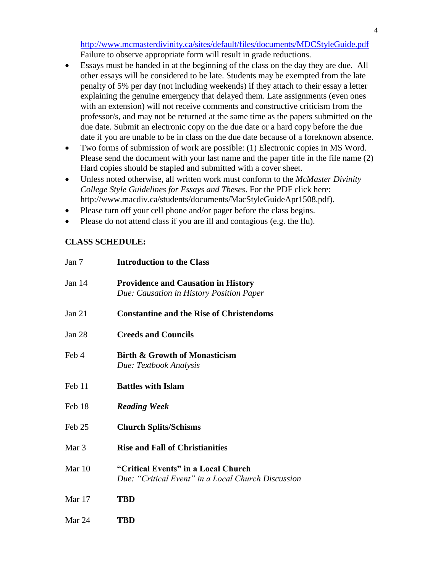<http://www.mcmasterdivinity.ca/sites/default/files/documents/MDCStyleGuide.pdf> Failure to observe appropriate form will result in grade reductions.

- Essays must be handed in at the beginning of the class on the day they are due. All other essays will be considered to be late. Students may be exempted from the late penalty of 5% per day (not including weekends) if they attach to their essay a letter explaining the genuine emergency that delayed them. Late assignments (even ones with an extension) will not receive comments and constructive criticism from the professor/s, and may not be returned at the same time as the papers submitted on the due date. Submit an electronic copy on the due date or a hard copy before the due date if you are unable to be in class on the due date because of a foreknown absence.
- Two forms of submission of work are possible: (1) Electronic copies in MS Word. Please send the document with your last name and the paper title in the file name (2) Hard copies should be stapled and submitted with a cover sheet.
- Unless noted otherwise, all written work must conform to the *McMaster Divinity College Style Guidelines for Essays and Theses*. For the PDF click here: [http://www.macdiv.ca/students/documents/MacStyleGuideApr1508.pdf\)](http://www.macdiv.ca/students/documents/MacStyleGuideApr1508.pdf).
- Please turn off your cell phone and/or pager before the class begins.
- Please do not attend class if you are ill and contagious (e.g. the flu).

### **CLASS SCHEDULE:**

| Jan $7$          | <b>Introduction to the Class</b>                                                          |
|------------------|-------------------------------------------------------------------------------------------|
| Jan $14$         | <b>Providence and Causation in History</b><br>Due: Causation in History Position Paper    |
| Jan $21$         | <b>Constantine and the Rise of Christendoms</b>                                           |
| Jan $28$         | <b>Creeds and Councils</b>                                                                |
| Feb 4            | <b>Birth &amp; Growth of Monasticism</b><br>Due: Textbook Analysis                        |
| Feb 11           | <b>Battles with Islam</b>                                                                 |
| Feb 18           | <b>Reading Week</b>                                                                       |
| Feb 25           | <b>Church Splits/Schisms</b>                                                              |
| Mar <sub>3</sub> | <b>Rise and Fall of Christianities</b>                                                    |
| Mar 10           | "Critical Events" in a Local Church<br>Due: "Critical Event" in a Local Church Discussion |
| Mar $17$         | <b>TBD</b>                                                                                |
| Mar 24           | <b>TBD</b>                                                                                |